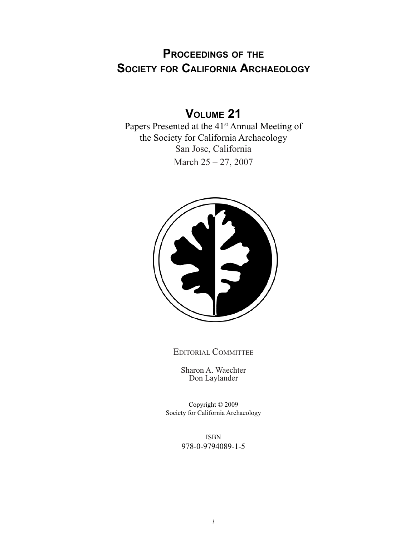# **Proceedings of the Society for California Archaeology**

# **Volume 21**

Papers Presented at the 41<sup>st</sup> Annual Meeting of the Society for California Archaeology San Jose, California March 25 – 27, 2007



Editorial Committee

Sharon A. Waechter Don Laylander

Copyright © 2009 Society for California Archaeology

> ISBN 978-0-9794089-1-5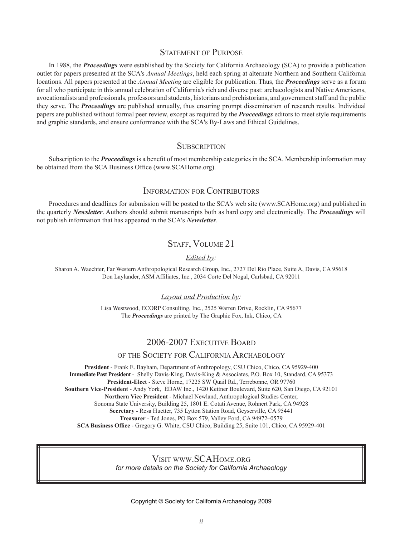### STATEMENT OF PURPOSE

In 1988, the *Proceedings* were established by the Society for California Archaeology (SCA) to provide a publication outlet for papers presented at the SCA's *Annual Meetings*, held each spring at alternate Northern and Southern California locations. All papers presented at the *Annual Meeting* are eligible for publication. Thus, the *Proceedings* serve as a forum for all who participate in this annual celebration of California's rich and diverse past: archaeologists and Native Americans, avocationalists and professionals, professors and students, historians and prehistorians, and government staff and the public they serve. The *Proceedings* are published annually, thus ensuring prompt dissemination of research results. Individual papers are published without formal peer review, except as required by the *Proceedings* editors to meet style requirements and graphic standards, and ensure conformance with the SCA's By-Laws and Ethical Guidelines.

### **SUBSCRIPTION**

Subscription to the *Proceedings* is a benefit of most membership categories in the SCA. Membership information may be obtained from the SCA Business Office (www.SCAHome.org).

### Information for Contributors

Procedures and deadlines for submission will be posted to the SCA's web site (www.SCAHome.org) and published in the quarterly *Newsletter*. Authors should submit manuscripts both as hard copy and electronically. The *Proceedings* will not publish information that has appeared in the SCA's *Newsletter*.

### STAFF, VOLUME 21

### *Edited by:*

Sharon A. Waechter, Far Western Anthropological Research Group, Inc., 2727 Del Rio Place, Suite A, Davis, CA 95618 Don Laylander, ASM Affiliates, Inc., 2034 Corte Del Nogal, Carlsbad, CA 92011

#### *Layout and Production by:*

Lisa Westwood, ECORP Consulting, Inc., 2525 Warren Drive, Rocklin, CA 95677 The *Proceedings* are printed by The Graphic Fox, Ink, Chico, CA

## 2006-2007 Executive Board

### of the Society for California Archaeology

**President** - Frank E. Bayham, Department of Anthropology, CSU Chico, Chico, CA 95929-400 **Immediate Past President** - Shelly Davis-King, Davis-King & Associates, P.O. Box 10, Standard, CA 95373 **President-Elect** - Steve Horne, 17225 SW Quail Rd., Terrebonne, OR 97760 **Southern Vice-President** - Andy York, EDAW Inc., 1420 Kettner Boulevard, Suite 620, San Diego, CA 92101 **Northern Vice President** - Michael Newland, Anthropological Studies Center, Sonoma State University, Building 25, 1801 E. Cotati Avenue, Rohnert Park, CA 94928 **Secretary** - Resa Huetter, 735 Lytton Station Road, Geyserville, CA 95441 **Treasurer** - Ted Jones, PO Box 579, Valley Ford, CA 94972–0579 **SCA Business Office** - Gregory G. White, CSU Chico, Building 25, Suite 101, Chico, CA 95929-401

#### Visit www.SCAHome.org *for more details on the Society for California Archaeology*

Copyright © Society for California Archaeology 2009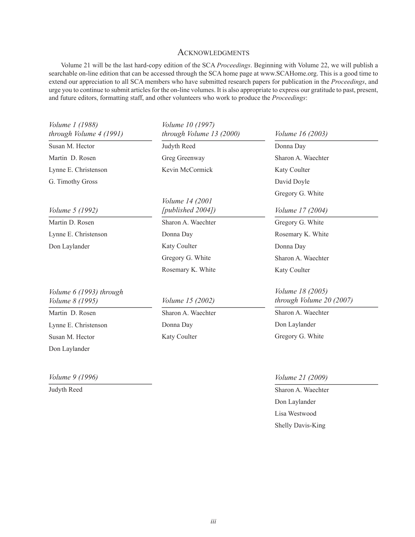### **ACKNOWLEDGMENTS**

Volume 21 will be the last hard-copy edition of the SCA *Proceedings*. Beginning with Volume 22, we will publish a searchable on-line edition that can be accessed through the SCA home page at www.SCAHome.org. This is a good time to extend our appreciation to all SCA members who have submitted research papers for publication in the *Proceedings*, and urge you to continue to submit articles for the on-line volumes. It is also appropriate to express our gratitude to past, present, and future editors, formatting staff, and other volunteers who work to produce the *Proceedings*:

| <i>Volume 1 (1988)</i><br>through Volume 4 (1991) | <i>Volume 10 (1997)</i><br>through Volume 13 (2000) | <i>Volume 16 (2003)</i>                             |
|---------------------------------------------------|-----------------------------------------------------|-----------------------------------------------------|
| Susan M. Hector                                   | Judyth Reed                                         | Donna Day                                           |
| Martin D. Rosen                                   | Greg Greenway                                       | Sharon A. Waechter                                  |
| Lynne E. Christenson                              | Kevin McCormick                                     | Katy Coulter                                        |
| G. Timothy Gross                                  |                                                     | David Doyle                                         |
|                                                   | <i>Volume 14 (2001)</i>                             | Gregory G. White                                    |
| <i>Volume 5 (1992)</i>                            | [published 2004])                                   | <i>Volume 17 (2004)</i>                             |
| Martin D. Rosen                                   | Sharon A. Waechter                                  | Gregory G. White                                    |
| Lynne E. Christenson                              | Donna Day                                           | Rosemary K. White                                   |
| Don Laylander                                     | Katy Coulter                                        | Donna Day                                           |
|                                                   | Gregory G. White                                    | Sharon A. Waechter                                  |
|                                                   | Rosemary K. White                                   | Katy Coulter                                        |
| Volume 6 (1993) through<br><i>Volume 8 (1995)</i> | <i>Volume 15 (2002)</i>                             | <i>Volume 18 (2005)</i><br>through Volume 20 (2007) |
| Martin D. Rosen                                   | Sharon A. Waechter                                  | Sharon A. Waechter                                  |
| Lynne E. Christenson                              | Donna Day                                           | Don Laylander                                       |
| Susan M. Hector                                   | Katy Coulter                                        | Gregory G. White                                    |
| Don Laylander                                     |                                                     |                                                     |

*Volume 9 (1996)* 

Judyth Reed

*Volume 21 (2009)*

Sharon A. Waechter Don Laylander Lisa Westwood Shelly Davis-King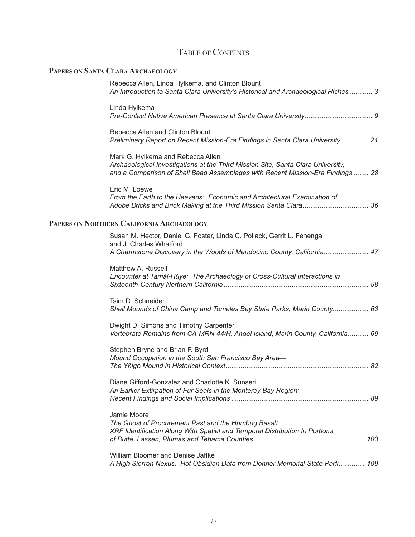# Table of Contents

# **Papers on Santa Clara Archaeology**

| Rebecca Allen, Linda Hylkema, and Clinton Blount<br>An Introduction to Santa Clara University's Historical and Archaeological Riches  3                                                                  |
|----------------------------------------------------------------------------------------------------------------------------------------------------------------------------------------------------------|
| Linda Hylkema                                                                                                                                                                                            |
| Rebecca Allen and Clinton Blount<br>Preliminary Report on Recent Mission-Era Findings in Santa Clara University 21                                                                                       |
| Mark G. Hylkema and Rebecca Allen<br>Archaeological Investigations at the Third Mission Site, Santa Clara University,<br>and a Comparison of Shell Bead Assemblages with Recent Mission-Era Findings  28 |
| Eric M. Loewe<br>From the Earth to the Heavens: Economic and Architectural Examination of                                                                                                                |
| PAPERS ON NORTHERN CALIFORNIA ARCHAEOLOGY                                                                                                                                                                |
| Susan M. Hector, Daniel G. Foster, Linda C. Pollack, Gerrit L. Fenenga,<br>and J. Charles Whatford<br>A Charmstone Discovery in the Woods of Mendocino County, California 47                             |
|                                                                                                                                                                                                          |
| Matthew A. Russell<br>Encounter at Tamál-Húye: The Archaeology of Cross-Cultural Interactions in                                                                                                         |
| Tsim D. Schneider<br>Shell Mounds of China Camp and Tomales Bay State Parks, Marin County 63                                                                                                             |
| Dwight D. Simons and Timothy Carpenter<br>Vertebrate Remains from CA-MRN-44/H, Angel Island, Marin County, California 69                                                                                 |
| Stephen Bryne and Brian F. Byrd<br>Mound Occupation in the South San Francisco Bay Area-                                                                                                                 |
| Diane Gifford-Gonzalez and Charlotte K. Sunseri<br>An Earlier Extirpation of Fur Seals in the Monterey Bay Region:                                                                                       |
| Jamie Moore<br>The Ghost of Procurement Past and the Humbug Basalt:<br>XRF Identification Along With Spatial and Temporal Distribution In Portions                                                       |
| William Bloomer and Denise Jaffke<br>A High Sierran Nexus: Hot Obsidian Data from Donner Memorial State Park 109                                                                                         |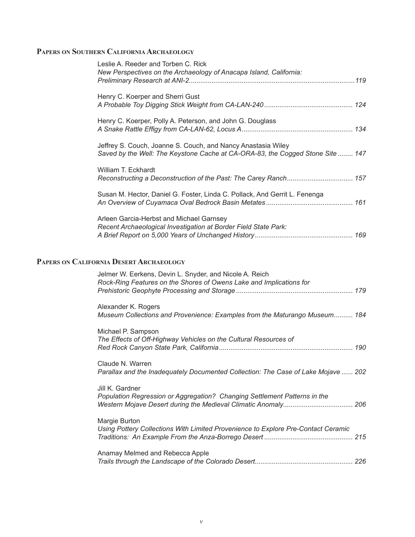# **Papers on Southern California Archaeology**

| Leslie A. Reeder and Torben C. Rick<br>New Perspectives on the Archaeology of Anacapa Island, California:                                      |  |
|------------------------------------------------------------------------------------------------------------------------------------------------|--|
| Henry C. Koerper and Sherri Gust                                                                                                               |  |
| Henry C. Koerper, Polly A. Peterson, and John G. Douglass                                                                                      |  |
| Jeffrey S. Couch, Joanne S. Couch, and Nancy Anastasia Wiley<br>Saved by the Well: The Keystone Cache at CA-ORA-83, the Cogged Stone Site  147 |  |
| William T. Eckhardt<br>Reconstructing a Deconstruction of the Past: The Carey Ranch 157                                                        |  |
| Susan M. Hector, Daniel G. Foster, Linda C. Pollack, And Gerrit L. Fenenga                                                                     |  |
| Arleen Garcia-Herbst and Michael Garnsey<br>Recent Archaeological Investigation at Border Field State Park:                                    |  |
| PAPERS ON CALIFORNIA DESERT ARCHAEOLOGY                                                                                                        |  |
| Jelmer W. Eerkens, Devin L. Snyder, and Nicole A. Reich<br>Rock-Ring Features on the Shores of Owens Lake and Implications for                 |  |

| Alexander K. Rogers<br>Museum Collections and Provenience: Examples from the Maturango Museum 184     |  |
|-------------------------------------------------------------------------------------------------------|--|
| Michael P. Sampson<br>The Effects of Off-Highway Vehicles on the Cultural Resources of                |  |
| Claude N. Warren<br>Parallax and the Inadequately Documented Collection: The Case of Lake Mojave  202 |  |
| Jill K. Gardner<br>Population Regression or Aggregation? Changing Settlement Patterns in the          |  |
| Margie Burton<br>Using Pottery Collections With Limited Provenience to Explore Pre-Contact Ceramic    |  |
| Anamay Melmed and Rebecca Apple                                                                       |  |